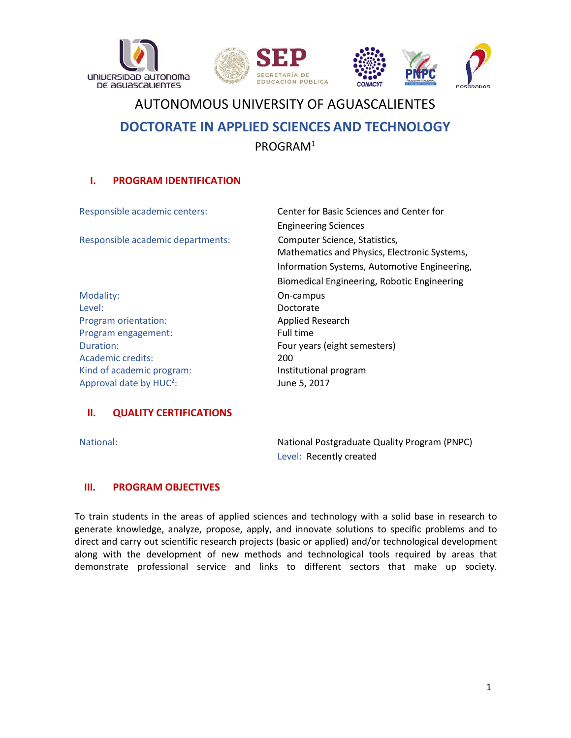



# AUTONOMOUS UNIVERSITY OF AGUASCALIENTES **DOCTORATE IN APPLIED SCIENCES AND TECHNOLOGY** PROGRAM<sup>1</sup>

## **I. PROGRAM IDENTIFICATION**

| Responsible academic centers:     | Center for Basic Sciences and Center for                                      |
|-----------------------------------|-------------------------------------------------------------------------------|
|                                   | <b>Engineering Sciences</b>                                                   |
| Responsible academic departments: | Computer Science, Statistics,<br>Mathematics and Physics, Electronic Systems, |
|                                   | Information Systems, Automotive Engineering,                                  |
|                                   | Biomedical Engineering, Robotic Engineering                                   |
| Modality:                         | On-campus                                                                     |
| Level:                            | Doctorate                                                                     |
| Program orientation:              | <b>Applied Research</b>                                                       |
| Program engagement:               | Full time                                                                     |
| Duration:                         | Four years (eight semesters)                                                  |
| <b>Academic credits:</b>          | 200                                                                           |
| Kind of academic program:         | Institutional program                                                         |
| Approval date by $HUC2$ :         | June 5, 2017                                                                  |

## **II. QUALITY CERTIFICATIONS**

National: National Postgraduate Quality Program (PNPC) Level: Recently created

#### **III. PROGRAM OBJECTIVES**

To train students in the areas of applied sciences and technology with a solid base in research to generate knowledge, analyze, propose, apply, and innovate solutions to specific problems and to direct and carry out scientific research projects (basic or applied) and/or technological development along with the development of new methods and technological tools required by areas that demonstrate professional service and links to different sectors that make up society.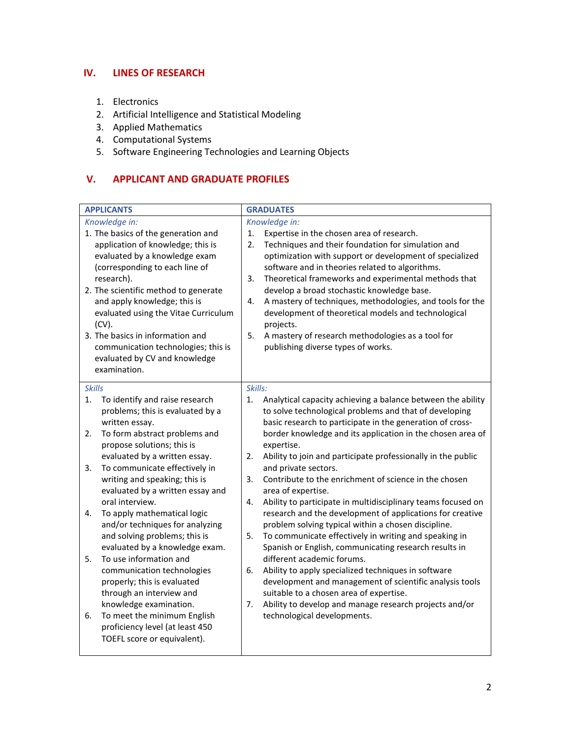## **IV. LINES OF RESEARCH**

- 1. Electronics
- 2. Artificial Intelligence and Statistical Modeling
- 3. Applied Mathematics
- 4. Computational Systems
- 5. Software Engineering Technologies and Learning Objects

# **V. APPLICANT AND GRADUATE PROFILES**

| <b>APPLICANTS</b>                                                                                                                                                                                                                                                                                                                                                                                                                                                                                                                                                                                                                                                                                                                                     | <b>GRADUATES</b>                                                                                                                                                                                                                                                                                                                                                                                                                                                                                                                                                                                                                                                                                                                                                                                                                                                                                                                                                                                                                                                                     |
|-------------------------------------------------------------------------------------------------------------------------------------------------------------------------------------------------------------------------------------------------------------------------------------------------------------------------------------------------------------------------------------------------------------------------------------------------------------------------------------------------------------------------------------------------------------------------------------------------------------------------------------------------------------------------------------------------------------------------------------------------------|--------------------------------------------------------------------------------------------------------------------------------------------------------------------------------------------------------------------------------------------------------------------------------------------------------------------------------------------------------------------------------------------------------------------------------------------------------------------------------------------------------------------------------------------------------------------------------------------------------------------------------------------------------------------------------------------------------------------------------------------------------------------------------------------------------------------------------------------------------------------------------------------------------------------------------------------------------------------------------------------------------------------------------------------------------------------------------------|
| Knowledge in:<br>1. The basics of the generation and<br>application of knowledge; this is<br>evaluated by a knowledge exam<br>(corresponding to each line of<br>research).<br>2. The scientific method to generate<br>and apply knowledge; this is<br>evaluated using the Vitae Curriculum<br>$(CV)$ .<br>3. The basics in information and<br>communication technologies; this is<br>evaluated by CV and knowledge<br>examination.                                                                                                                                                                                                                                                                                                                    | Knowledge in:<br>1.<br>Expertise in the chosen area of research.<br>$\overline{2}$ .<br>Techniques and their foundation for simulation and<br>optimization with support or development of specialized<br>software and in theories related to algorithms.<br>3.<br>Theoretical frameworks and experimental methods that<br>develop a broad stochastic knowledge base.<br>A mastery of techniques, methodologies, and tools for the<br>4.<br>development of theoretical models and technological<br>projects.<br>5.<br>A mastery of research methodologies as a tool for<br>publishing diverse types of works.                                                                                                                                                                                                                                                                                                                                                                                                                                                                         |
| <b>Skills</b><br>To identify and raise research<br>1.<br>problems; this is evaluated by a<br>written essay.<br>To form abstract problems and<br>2.<br>propose solutions; this is<br>evaluated by a written essay.<br>To communicate effectively in<br>3.<br>writing and speaking; this is<br>evaluated by a written essay and<br>oral interview.<br>To apply mathematical logic<br>4.<br>and/or techniques for analyzing<br>and solving problems; this is<br>evaluated by a knowledge exam.<br>To use information and<br>5.<br>communication technologies<br>properly; this is evaluated<br>through an interview and<br>knowledge examination.<br>To meet the minimum English<br>6.<br>proficiency level (at least 450<br>TOEFL score or equivalent). | Skills:<br>1.<br>Analytical capacity achieving a balance between the ability<br>to solve technological problems and that of developing<br>basic research to participate in the generation of cross-<br>border knowledge and its application in the chosen area of<br>expertise.<br>Ability to join and participate professionally in the public<br>2.<br>and private sectors.<br>Contribute to the enrichment of science in the chosen<br>3.<br>area of expertise.<br>4.<br>Ability to participate in multidisciplinary teams focused on<br>research and the development of applications for creative<br>problem solving typical within a chosen discipline.<br>To communicate effectively in writing and speaking in<br>5.<br>Spanish or English, communicating research results in<br>different academic forums.<br>Ability to apply specialized techniques in software<br>6.<br>development and management of scientific analysis tools<br>suitable to a chosen area of expertise.<br>Ability to develop and manage research projects and/or<br>7.<br>technological developments. |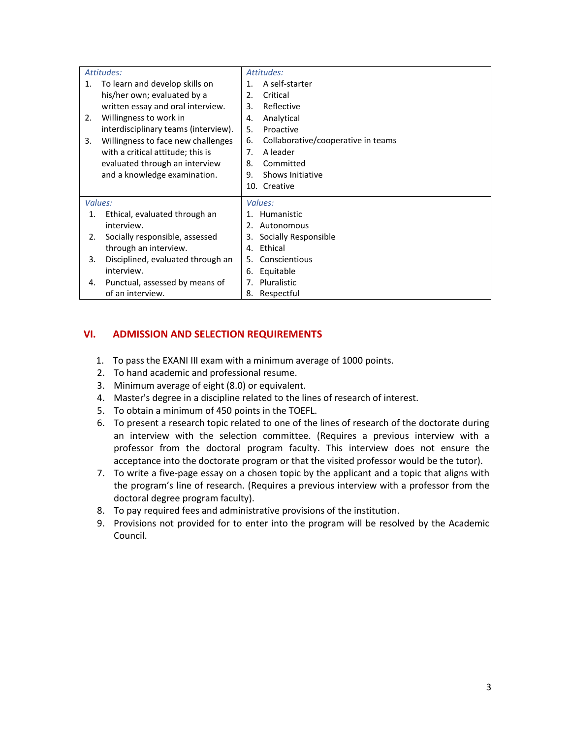|    | Attitudes:                           | Attitudes:                               |
|----|--------------------------------------|------------------------------------------|
| 1. | To learn and develop skills on       | A self-starter<br>$\mathbf 1$ .          |
|    | his/her own; evaluated by a          | Critical<br>$\mathcal{P}_{\cdot}$        |
|    | written essay and oral interview.    | Reflective<br>3.                         |
| 2. | Willingness to work in               | Analytical<br>4.                         |
|    | interdisciplinary teams (interview). | 5.<br>Proactive                          |
| 3. | Willingness to face new challenges   | Collaborative/cooperative in teams<br>6. |
|    | with a critical attitude; this is    | A leader<br>7.                           |
|    | evaluated through an interview       | Committed<br>8.                          |
|    | and a knowledge examination.         | 9.<br>Shows Initiative                   |
|    |                                      | 10. Creative                             |
|    | Values:                              | Values:                                  |
| 1. | Ethical, evaluated through an        | Humanistic<br>1.                         |
|    | interview.                           | Autonomous<br>2.                         |
| 2. | Socially responsible, assessed       | Socially Responsible<br>3.               |
|    | through an interview.                | Ethical<br>4.                            |
| 3. | Disciplined, evaluated through an    | Conscientious<br>5.                      |
|    | interview.                           | Equitable<br>6.                          |
| 4. | Punctual, assessed by means of       | Pluralistic<br>7.                        |
|    | of an interview.                     | 8.<br>Respectful                         |

# **VI. ADMISSION AND SELECTION REQUIREMENTS**

- 1. To pass the EXANI III exam with a minimum average of 1000 points.
- 2. To hand academic and professional resume.
- 3. Minimum average of eight (8.0) or equivalent.
- 4. Master's degree in a discipline related to the lines of research of interest.
- 5. To obtain a minimum of 450 points in the TOEFL.
- 6. To present a research topic related to one of the lines of research of the doctorate during an interview with the selection committee. (Requires a previous interview with a professor from the doctoral program faculty. This interview does not ensure the acceptance into the doctorate program or that the visited professor would be the tutor).
- 7. To write a five-page essay on a chosen topic by the applicant and a topic that aligns with the program's line of research. (Requires a previous interview with a professor from the doctoral degree program faculty).
- 8. To pay required fees and administrative provisions of the institution.
- 9. Provisions not provided for to enter into the program will be resolved by the Academic Council.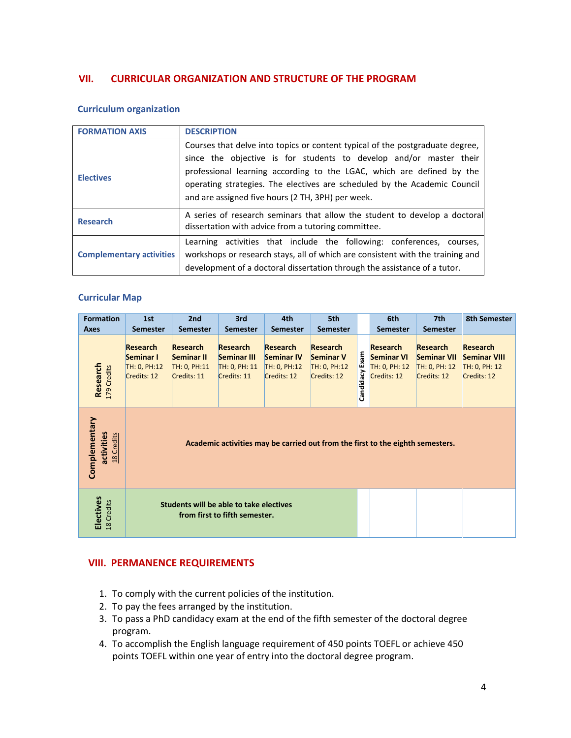### **VII. CURRICULAR ORGANIZATION AND STRUCTURE OF THE PROGRAM**

#### **Curriculum organization**

| <b>FORMATION AXIS</b>           | <b>DESCRIPTION</b>                                                                                                                                                                                                                                                                                                                                             |
|---------------------------------|----------------------------------------------------------------------------------------------------------------------------------------------------------------------------------------------------------------------------------------------------------------------------------------------------------------------------------------------------------------|
| <b>Electives</b>                | Courses that delve into topics or content typical of the postgraduate degree,<br>since the objective is for students to develop and/or master their<br>professional learning according to the LGAC, which are defined by the<br>operating strategies. The electives are scheduled by the Academic Council<br>and are assigned five hours (2 TH, 3PH) per week. |
| <b>Research</b>                 | A series of research seminars that allow the student to develop a doctoral<br>dissertation with advice from a tutoring committee.                                                                                                                                                                                                                              |
| <b>Complementary activities</b> | Learning activities that include the following: conferences, courses,<br>workshops or research stays, all of which are consistent with the training and<br>development of a doctoral dissertation through the assistance of a tutor.                                                                                                                           |

#### **Curricular Map**

| <b>Formation</b><br>Axes                  | 1st<br><b>Semester</b>                                                         | 2nd<br><b>Semester</b>                                       | 3rd<br><b>Semester</b>                                                   | 4th<br><b>Semester</b>                                              | 5th<br><b>Semester</b>                                             |                | 6th<br><b>Semester</b>                                               | 7th<br><b>Semester</b>                                                | 8th Semester                                                           |
|-------------------------------------------|--------------------------------------------------------------------------------|--------------------------------------------------------------|--------------------------------------------------------------------------|---------------------------------------------------------------------|--------------------------------------------------------------------|----------------|----------------------------------------------------------------------|-----------------------------------------------------------------------|------------------------------------------------------------------------|
| Research<br>179 Credits                   | <b>Research</b><br>Seminar I<br>TH: 0, PH:12<br>Credits: 12                    | <b>Research</b><br>Seminar II<br>TH: 0, PH:11<br>Credits: 11 | <b>Research</b><br>Seminar III<br>TH: 0, PH: 11<br>Credits: 11           | <b>Research</b><br><b>Seminar IV</b><br>TH: 0, PH:12<br>Credits: 12 | <b>Research</b><br><b>Seminar V</b><br>TH: 0, PH:12<br>Credits: 12 | Candidacy Exam | <b>Research</b><br><b>Seminar VI</b><br>TH: 0, PH: 12<br>Credits: 12 | <b>Research</b><br><b>Seminar VII</b><br>TH: 0, PH: 12<br>Credits: 12 | <b>Research</b><br><b>Seminar VIII</b><br>TH: 0, PH: 12<br>Credits: 12 |
| Complementary<br>activities<br>18 Credits | Academic activities may be carried out from the first to the eighth semesters. |                                                              |                                                                          |                                                                     |                                                                    |                |                                                                      |                                                                       |                                                                        |
| Electives<br>18 Credits                   |                                                                                |                                                              | Students will be able to take electives<br>from first to fifth semester. |                                                                     |                                                                    |                |                                                                      |                                                                       |                                                                        |

#### **VIII. PERMANENCE REQUIREMENTS**

- 1. To comply with the current policies of the institution.
- 2. To pay the fees arranged by the institution.
- 3. To pass a PhD candidacy exam at the end of the fifth semester of the doctoral degree program.
- 4. To accomplish the English language requirement of 450 points TOEFL or achieve 450 points TOEFL within one year of entry into the doctoral degree program.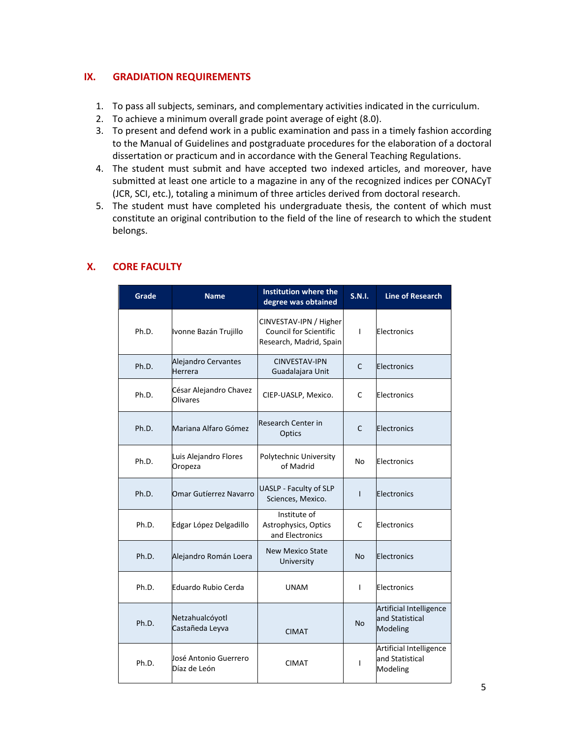## **IX. GRADIATION REQUIREMENTS**

- 1. To pass all subjects, seminars, and complementary activities indicated in the curriculum.
- 2. To achieve a minimum overall grade point average of eight (8.0).
- 3. To present and defend work in a public examination and pass in a timely fashion according to the Manual of Guidelines and postgraduate procedures for the elaboration of a doctoral dissertation or practicum and in accordance with the General Teaching Regulations.
- 4. The student must submit and have accepted two indexed articles, and moreover, have submitted at least one article to a magazine in any of the recognized indices per CONACyT (JCR, SCI, etc.), totaling a minimum of three articles derived from doctoral research.
- 5. The student must have completed his undergraduate thesis, the content of which must constitute an original contribution to the field of the line of research to which the student belongs.

| Grade | <b>Name</b>                               | Institution where the<br>degree was obtained                                       | S.N.I.       | <b>Line of Research</b>                                       |
|-------|-------------------------------------------|------------------------------------------------------------------------------------|--------------|---------------------------------------------------------------|
| Ph.D. | Ivonne Bazán Trujillo                     | CINVESTAV-IPN / Higher<br><b>Council for Scientific</b><br>Research, Madrid, Spain | $\mathbf{I}$ | Electronics                                                   |
| Ph.D. | Alejandro Cervantes<br>Herrera            | CINVESTAV-IPN<br>Guadalajara Unit                                                  | C            | Electronics                                                   |
| Ph.D. | César Alejandro Chavez<br><b>Olivares</b> | CIEP-UASLP, Mexico.                                                                | C            | Electronics                                                   |
| Ph.D. | Mariana Alfaro Gómez                      | Research Center in<br>C<br>Optics                                                  |              | Electronics                                                   |
| Ph.D. | Luis Alejandro Flores<br>Oropeza          | Polytechnic University<br>of Madrid                                                | No           | Electronics                                                   |
| Ph.D. | Omar Gutíerrez Navarro                    | <b>UASLP - Faculty of SLP</b><br>Sciences, Mexico.                                 | T            | Electronics                                                   |
| Ph.D. | Edgar López Delgadillo                    | Institute of<br>Astrophysics, Optics<br>and Electronics                            | C            | Electronics                                                   |
| Ph.D. | Alejandro Román Loera                     | <b>New Mexico State</b><br>University                                              | <b>No</b>    | Electronics                                                   |
| Ph.D. | Eduardo Rubio Cerda                       | <b>UNAM</b>                                                                        | T            | Electronics                                                   |
| Ph.D. | Netzahualcóyotl<br>Castañeda Leyva        | <b>CIMAT</b>                                                                       | <b>No</b>    | <b>Artificial Intelligence</b><br>and Statistical<br>Modeling |
| Ph.D. | José Antonio Guerrero<br>Díaz de León     | <b>CIMAT</b>                                                                       | $\mathbf{I}$ | Artificial Intelligence<br>and Statistical<br>Modeling        |

# **X. CORE FACULTY**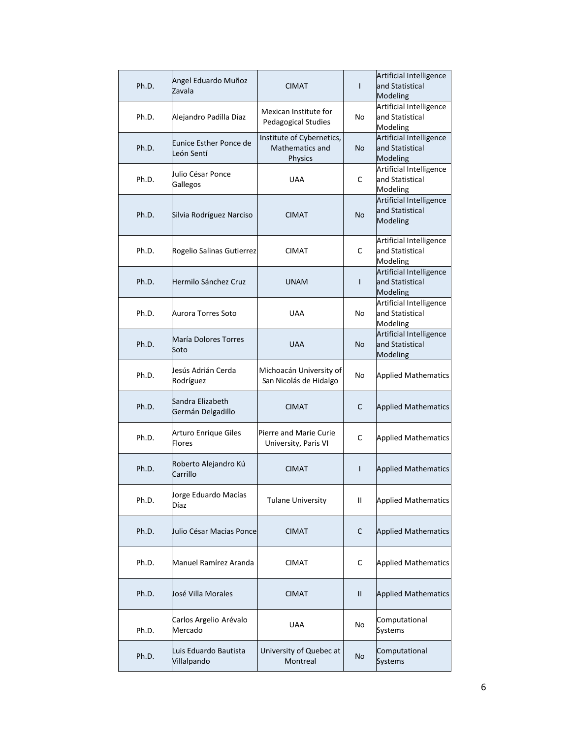| Ph.D. | Angel Eduardo Muñoz<br>Zavala         | <b>CIMAT</b>                                                   | $\mathsf{I}$ | Artificial Intelligence<br>and Statistical<br>Modeling |
|-------|---------------------------------------|----------------------------------------------------------------|--------------|--------------------------------------------------------|
| Ph.D. | Alejandro Padilla Díaz                | Mexican Institute for<br><b>Pedagogical Studies</b>            | No           | Artificial Intelligence<br>and Statistical<br>Modeling |
| Ph.D. | Eunice Esther Ponce de<br>León Sentí  | Institute of Cybernetics,<br><b>Mathematics and</b><br>Physics | <b>No</b>    | Artificial Intelligence<br>and Statistical<br>Modeling |
| Ph.D. | Julio César Ponce<br>Gallegos         | <b>UAA</b>                                                     | C            | Artificial Intelligence<br>and Statistical<br>Modeling |
| Ph.D. | Silvia Rodríguez Narciso              | <b>CIMAT</b>                                                   | <b>No</b>    | Artificial Intelligence<br>and Statistical<br>Modeling |
| Ph.D. | Rogelio Salinas Gutierrez             | <b>CIMAT</b>                                                   | C            | Artificial Intelligence<br>and Statistical<br>Modeling |
| Ph.D. | Hermilo Sánchez Cruz                  | <b>UNAM</b>                                                    | T            | Artificial Intelligence<br>and Statistical<br>Modeling |
| Ph.D. | Aurora Torres Soto                    | <b>UAA</b>                                                     | No           | Artificial Intelligence<br>and Statistical<br>Modeling |
| Ph.D. | María Dolores Torres<br>Soto          | <b>UAA</b>                                                     | <b>No</b>    | Artificial Intelligence<br>and Statistical<br>Modeling |
| Ph.D. | Jesús Adrián Cerda<br>Rodríguez       | Michoacán University of<br>San Nicolás de Hidalgo              | No           | <b>Applied Mathematics</b>                             |
| Ph.D. | Sandra Elizabeth<br>Germán Delgadillo | <b>CIMAT</b>                                                   | C            | <b>Applied Mathematics</b>                             |
| Ph.D. | Arturo Enrique Giles<br><b>Flores</b> | Pierre and Marie Curie<br>University, Paris VI                 | C            | <b>Applied Mathematics</b>                             |
| Ph.D. | Roberto Alejandro Kú<br>Carrillo      | <b>CIMAT</b>                                                   | $\mathsf{I}$ | <b>Applied Mathematics</b>                             |
| Ph.D. | Jorge Eduardo Macías<br>Díaz          | <b>Tulane University</b>                                       | Ш            | <b>Applied Mathematics</b>                             |
| Ph.D. | Julio César Macias Ponce              | <b>CIMAT</b>                                                   | С            | <b>Applied Mathematics</b>                             |
| Ph.D. | Manuel Ramírez Aranda                 | CIMAT                                                          | C            | <b>Applied Mathematics</b>                             |
| Ph.D. | José Villa Morales                    | <b>CIMAT</b>                                                   | Ш            | <b>Applied Mathematics</b>                             |
| Ph.D. | Carlos Argelio Arévalo<br>Mercado     | UAA                                                            | No           | Computational<br>Systems                               |
| Ph.D. | Luis Eduardo Bautista<br>Villalpando  | University of Quebec at<br>Montreal                            | No           | Computational<br><b>Systems</b>                        |